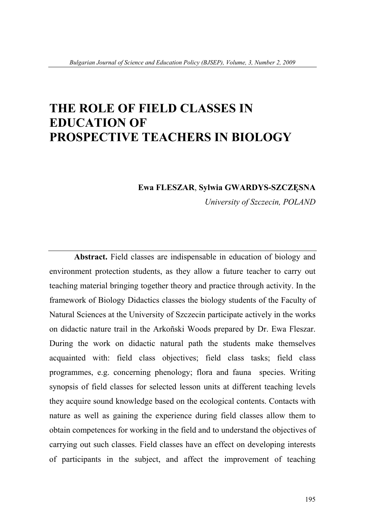# **THE ROLE OF FIELD CLASSES IN EDUCATION OF PROSPECTIVE TEACHERS IN BIOLOGY**

#### **Ewa FLESZAR**, **Sylwia GWARDYS-SZCZĘSNA**

*University of Szczecin, POLAND* 

**Abstract.** Field classes are indispensable in education of biology and environment protection students, as they allow a future teacher to carry out teaching material bringing together theory and practice through activity. In the framework of Biology Didactics classes the biology students of the Faculty of Natural Sciences at the University of Szczecin participate actively in the works on didactic nature trail in the Arkoñski Woods prepared by Dr. Ewa Fleszar. During the work on didactic natural path the students make themselves acquainted with: field class objectives; field class tasks; field class programmes, e.g. concerning phenology; flora and fauna species. Writing synopsis of field classes for selected lesson units at different teaching levels they acquire sound knowledge based on the ecological contents. Contacts with nature as well as gaining the experience during field classes allow them to obtain competences for working in the field and to understand the objectives of carrying out such classes. Field classes have an effect on developing interests of participants in the subject, and affect the improvement of teaching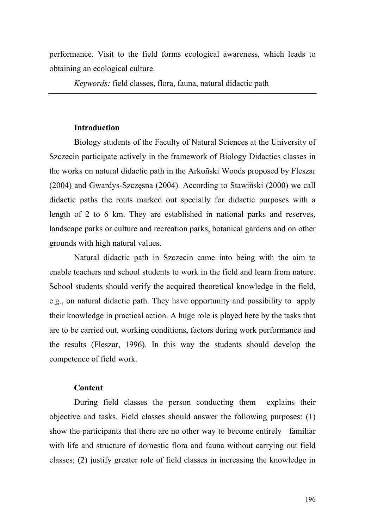performance. Visit to the field forms ecological awareness, which leads to obtaining an ecological culture.

*Keywords:* field classes, flora, fauna, natural didactic path

#### **Introduction**

Biology students of the Faculty of Natural Sciences at the University of Szczecin participate actively in the framework of Biology Didactics classes in the works on natural didactic path in the Arkoñski Woods proposed by Fleszar (2004) and Gwardys-Szczęsna (2004). According to Stawiñski (2000) we call didactic paths the routs marked out specially for didactic purposes with a length of 2 to 6 km. They are established in national parks and reserves, landscape parks or culture and recreation parks, botanical gardens and on other grounds with high natural values.

Natural didactic path in Szczecin came into being with the aim to enable teachers and school students to work in the field and learn from nature. School students should verify the acquired theoretical knowledge in the field, e.g., on natural didactic path. They have opportunity and possibility to apply their knowledge in practical action. A huge role is played here by the tasks that are to be carried out, working conditions, factors during work performance and the results (Fleszar, 1996). In this way the students should develop the competence of field work.

#### **Content**

During field classes the person conducting them explains their objective and tasks. Field classes should answer the following purposes: (1) show the participants that there are no other way to become entirely familiar with life and structure of domestic flora and fauna without carrying out field classes; (2) justify greater role of field classes in increasing the knowledge in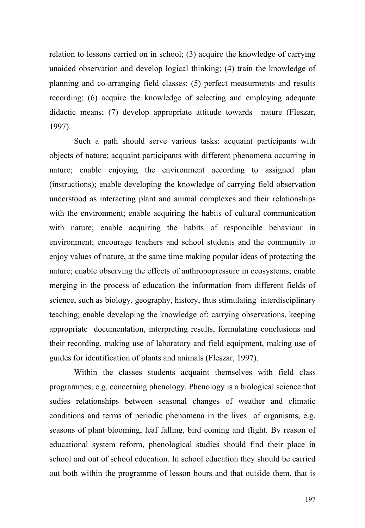relation to lessons carried on in school; (3) acquire the knowledge of carrying unaided observation and develop logical thinking; (4) train the knowledge of planning and co-arranging field classes; (5) perfect measurments and results recording; (6) acquire the knowledge of selecting and employing adequate didactic means; (7) develop appropriate attitude towards nature (Fleszar, 1997).

Such a path should serve various tasks: acquaint participants with objects of nature; acquaint participants with different phenomena occurring in nature; enable enjoying the environment according to assigned plan (instructions); enable developing the knowledge of carrying field observation understood as interacting plant and animal complexes and their relationships with the environment; enable acquiring the habits of cultural communication with nature; enable acquiring the habits of responcible behaviour in environment; encourage teachers and school students and the community to enjoy values of nature, at the same time making popular ideas of protecting the nature; enable observing the effects of anthropopressure in ecosystems; enable merging in the process of education the information from different fields of science, such as biology, geography, history, thus stimulating interdisciplinary teaching; enable developing the knowledge of: carrying observations, keeping appropriate documentation, interpreting results, formulating conclusions and their recording, making use of laboratory and field equipment, making use of guides for identification of plants and animals (Fleszar, 1997).

Within the classes students acquaint themselves with field class programmes, e.g. concerning phenology. Phenology is a biological science that sudies relationships between seasonal changes of weather and climatic conditions and terms of periodic phenomena in the lives of organisms, e.g. seasons of plant blooming, leaf falling, bird coming and flight. By reason of educational system reform, phenological studies should find their place in school and out of school education. In school education they should be carried out both within the programme of lesson hours and that outside them, that is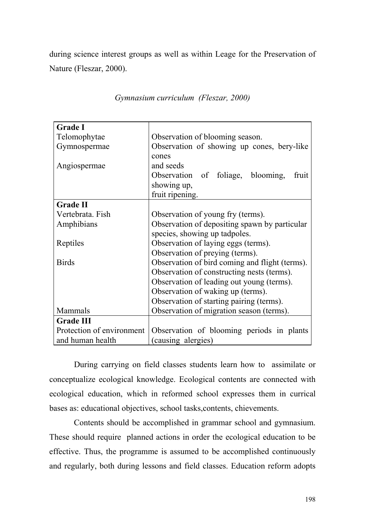during science interest groups as well as within Leage for the Preservation of Nature (Fleszar, 2000).

| <b>Grade I</b>            |                                                |  |  |  |  |  |
|---------------------------|------------------------------------------------|--|--|--|--|--|
| Telomophytae              | Observation of blooming season.                |  |  |  |  |  |
| Gymnospermae              | Observation of showing up cones, bery-like     |  |  |  |  |  |
|                           | cones                                          |  |  |  |  |  |
| Angiospermae              | and seeds                                      |  |  |  |  |  |
|                           | Observation of foliage, blooming,<br>fruit     |  |  |  |  |  |
|                           | showing up,                                    |  |  |  |  |  |
|                           | fruit ripening.                                |  |  |  |  |  |
| <b>Grade II</b>           |                                                |  |  |  |  |  |
| Vertebrata. Fish          | Observation of young fry (terms).              |  |  |  |  |  |
| Amphibians                | Observation of depositing spawn by particular  |  |  |  |  |  |
|                           | species, showing up tadpoles.                  |  |  |  |  |  |
| Reptiles                  | Observation of laying eggs (terms).            |  |  |  |  |  |
|                           | Observation of preying (terms).                |  |  |  |  |  |
| <b>Birds</b>              | Observation of bird coming and flight (terms). |  |  |  |  |  |
|                           | Observation of constructing nests (terms).     |  |  |  |  |  |
|                           | Observation of leading out young (terms).      |  |  |  |  |  |
|                           | Observation of waking up (terms).              |  |  |  |  |  |
|                           | Observation of starting pairing (terms).       |  |  |  |  |  |
| Mammals                   | Observation of migration season (terms).       |  |  |  |  |  |
| <b>Grade III</b>          |                                                |  |  |  |  |  |
| Protection of environment | Observation of blooming periods in plants      |  |  |  |  |  |
| and human health          | (causing alergies)                             |  |  |  |  |  |

*Gymnasium curriculum (Fleszar, 2000)*

During carrying on field classes students learn how to assimilate or conceptualize ecological knowledge. Ecological contents are connected with ecological education, which in reformed school expresses them in currical bases as: educational objectives, school tasks,contents, chievements.

Contents should be accomplished in grammar school and gymnasium. These should require planned actions in order the ecological education to be effective. Thus, the programme is assumed to be accomplished continuously and regularly, both during lessons and field classes. Education reform adopts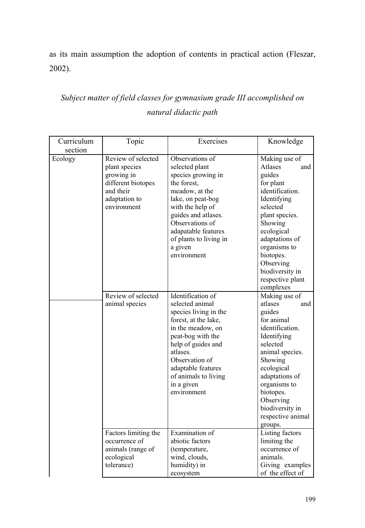as its main assumption the adoption of contents in practical action (Fleszar, 2002).

## *Subject matter of field classes for gymnasium grade III accomplished on natural didactic path*

| Curriculum | Topic                | Exercises              | Knowledge         |  |  |  |
|------------|----------------------|------------------------|-------------------|--|--|--|
| section    |                      |                        |                   |  |  |  |
| Ecology    | Review of selected   | Observations of        | Making use of     |  |  |  |
|            | plant species        | selected plant         | Atlases<br>and    |  |  |  |
|            | growing in           | species growing in     | guides            |  |  |  |
|            | different biotopes   | the forest,            | for plant         |  |  |  |
|            | and their            | meadow, at the         | identification.   |  |  |  |
|            | adaptation to        | lake, on peat-bog      | Identifying       |  |  |  |
|            | environment          | with the help of       | selected          |  |  |  |
|            |                      | guides and atlases.    | plant species.    |  |  |  |
|            |                      | Observations of        | Showing           |  |  |  |
|            |                      | adapatable features    | ecological        |  |  |  |
|            |                      | of plants to living in | adaptations of    |  |  |  |
|            |                      | a given                | organisms to      |  |  |  |
|            |                      | environment            | biotopes.         |  |  |  |
|            |                      |                        | Observing         |  |  |  |
|            |                      |                        | biodiversity in   |  |  |  |
|            |                      |                        | respective plant  |  |  |  |
|            |                      |                        | complexes         |  |  |  |
|            | Review of selected   | Identification of      | Making use of     |  |  |  |
|            | animal species       | selected animal        | atlases<br>and    |  |  |  |
|            |                      | species living in the  | guides            |  |  |  |
|            |                      | forest, at the lake,   | for animal        |  |  |  |
|            |                      | in the meadow, on      | identification.   |  |  |  |
|            |                      |                        |                   |  |  |  |
|            |                      | peat-bog with the      | Identifying       |  |  |  |
|            |                      | help of guides and     | selected          |  |  |  |
|            |                      | atlases.               | animal species.   |  |  |  |
|            |                      | Observation of         | Showing           |  |  |  |
|            |                      | adaptable features     | ecological        |  |  |  |
|            |                      | of animals to living   | adaptations of    |  |  |  |
|            |                      | in a given             | organisms to      |  |  |  |
|            |                      | environment            | biotopes.         |  |  |  |
|            |                      |                        | Observing         |  |  |  |
|            |                      |                        | biodiversity in   |  |  |  |
|            |                      |                        | respective animal |  |  |  |
|            |                      |                        | groups.           |  |  |  |
|            | Factors limiting the | Examination of         | Listing factors   |  |  |  |
|            | occurrence of        | abiotic factors        | limiting the      |  |  |  |
|            | animals (range of    | (temperature,          | occurrence of     |  |  |  |
|            | ecological           | wind, clouds,          | animals.          |  |  |  |
|            | tolerance)           | humidity) in           | Giving examples   |  |  |  |
|            |                      | ecosystem              | of the effect of  |  |  |  |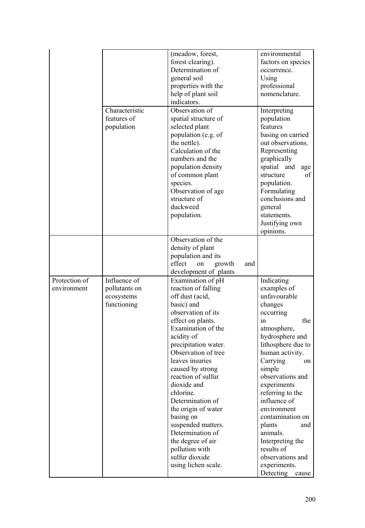|                              |                                                            | (meadow, forest,<br>forest clearing).<br>Determination of<br>general soil<br>properties with the<br>help of plant soil<br>indicators.                                                                                                                                                                                                                                                                                                                                              | environmental<br>factors on species<br>occurrence.<br>Using<br>professional<br>nomenclature.                                                                                                                                                                                                                                                                                                                             |
|------------------------------|------------------------------------------------------------|------------------------------------------------------------------------------------------------------------------------------------------------------------------------------------------------------------------------------------------------------------------------------------------------------------------------------------------------------------------------------------------------------------------------------------------------------------------------------------|--------------------------------------------------------------------------------------------------------------------------------------------------------------------------------------------------------------------------------------------------------------------------------------------------------------------------------------------------------------------------------------------------------------------------|
|                              | Characteristic<br>features of<br>population                | Observation of<br>spatial structure of<br>selected plant<br>population (e.g. of<br>the nettle).<br>Calculation of the<br>numbers and the<br>population density<br>of common plant<br>species.<br>Observation of age<br>structure of<br>duckweed<br>population.                                                                                                                                                                                                                     | Interpreting<br>population<br>features<br>basing on carried<br>out observations.<br>Representing<br>graphically<br>spatial and<br>age<br>structure<br>of<br>population.<br>Formulating<br>conclusions and<br>general<br>statements.<br>Justifying own<br>opinions.                                                                                                                                                       |
|                              |                                                            | Observation of the<br>density of plant<br>population and its<br>effect<br>on<br>growth<br>and<br>development of plants                                                                                                                                                                                                                                                                                                                                                             |                                                                                                                                                                                                                                                                                                                                                                                                                          |
| Protection of<br>environment | Influence of<br>pollutants on<br>ecosystems<br>functioning | Examination of pH<br>reaction of falling<br>off dust (acid,<br>basic) and<br>observation of its<br>effect on plants.<br>Examination of the<br>acidity of<br>precipitation water.<br>Observation of tree<br>leaves insuries<br>caused by strong<br>reaction of sulfur<br>dioxide and<br>chlorine.<br>Determination of<br>the origin of water<br>basing on<br>suspended matters.<br>Determination of<br>the degree of air<br>pollution with<br>sulfur dioxide<br>using lichen scale. | Indicating<br>examples of<br>unfavourable<br>changes<br>occurring<br>the<br>in<br>atmosphere,<br>hydrosphere and<br>lithosphere due to<br>human activity.<br>Carrying<br>on<br>simple<br>observations and<br>experiments<br>referring to the<br>influence of<br>environment<br>contamination on<br>plants<br>and<br>animals.<br>Interpreting the<br>results of<br>observations and<br>experiments.<br>Detecting<br>cause |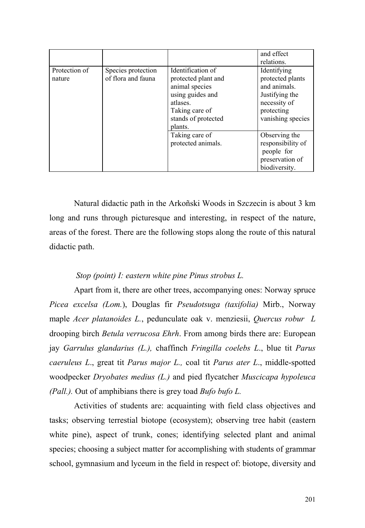|                         |                                          |                                                                                                                                                | and effect<br>relations.                                                                                             |
|-------------------------|------------------------------------------|------------------------------------------------------------------------------------------------------------------------------------------------|----------------------------------------------------------------------------------------------------------------------|
| Protection of<br>nature | Species protection<br>of flora and fauna | Identification of<br>protected plant and<br>animal species<br>using guides and<br>atlases.<br>Taking care of<br>stands of protected<br>plants. | Identifying<br>protected plants<br>and animals.<br>Justifying the<br>necessity of<br>protecting<br>vanishing species |
|                         |                                          | Taking care of<br>protected animals.                                                                                                           | Observing the<br>responsibility of<br>people for<br>preservation of<br>biodiversity.                                 |

Natural didactic path in the Arkoñski Woods in Szczecin is about 3 km long and runs through picturesque and interesting, in respect of the nature, areas of the forest. There are the following stops along the route of this natural didactic path.

### *Stop (point) I: eastern white pine Pinus strobus L.*

Apart from it, there are other trees, accompanying ones: Norway spruce *Picea excelsa (Lom.*), Douglas fir *Pseudotsuga (taxifolia)* Mirb., Norway maple *Acer platanoides L.*, pedunculate oak v. menziesii, *Quercus robur L* drooping birch *Betula verrucosa Ehrh*. From among birds there are: European jay *Garrulus glandarius (L.),* chaffinch *Fringilla coelebs L*., blue tit *Parus caeruleus L*., great tit *Parus major L.,* coal tit *Parus ater L*., middle-spotted woodpecker *Dryobates medius (L.)* and pied flycatcher *Muscicapa hypoleuca (Pall.).* Out of amphibians there is grey toad *Bufo bufo L.* 

Activities of students are: acquainting with field class objectives and tasks; observing terrestial biotope (ecosystem); observing tree habit (eastern white pine), aspect of trunk, cones; identifying selected plant and animal species; choosing a subject matter for accomplishing with students of grammar school, gymnasium and lyceum in the field in respect of: biotope, diversity and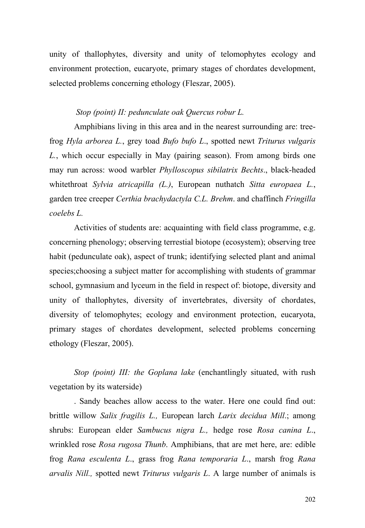unity of thallophytes, diversity and unity of telomophytes ecology and environment protection, eucaryote, primary stages of chordates development, selected problems concerning ethology (Fleszar, 2005).

#### *Stop (point) II: pedunculate oak Quercus robur L.*

Amphibians living in this area and in the nearest surrounding are: treefrog *Hyla arborea L.*, grey toad *Bufo bufo L*., spotted newt *Triturus vulgaris L.*, which occur especially in May (pairing season). From among birds one may run across: wood warbler *Phylloscopus sibilatrix Bechts*., black-headed whitethroat *Sylvia atricapilla (L.)*, European nuthatch *Sitta europaea L.*, garden tree creeper *Certhia brachydactyla C.L. Brehm*. and chaffinch *Fringilla coelebs L.* 

Activities of students are: acquainting with field class programme, e.g. concerning phenology; observing terrestial biotope (ecosystem); observing tree habit (pedunculate oak), aspect of trunk; identifying selected plant and animal species;choosing a subject matter for accomplishing with students of grammar school, gymnasium and lyceum in the field in respect of: biotope, diversity and unity of thallophytes, diversity of invertebrates, diversity of chordates, diversity of telomophytes; ecology and environment protection, eucaryota, primary stages of chordates development, selected problems concerning ethology (Fleszar, 2005).

*Stop (point) III: the Goplana lake* (enchantlingly situated, with rush vegetation by its waterside)

. Sandy beaches allow access to the water. Here one could find out: brittle willow *Salix fragilis L.,* European larch *Larix decidua Mill*.; among shrubs: European elder *Sambucus nigra L.,* hedge rose *Rosa canina L*., wrinkled rose *Rosa rugosa Thunb*. Amphibians, that are met here, are: edible frog *Rana esculenta L*., grass frog *Rana temporaria L*., marsh frog *Rana arvalis Nill.,* spotted newt *Triturus vulgaris L*. A large number of animals is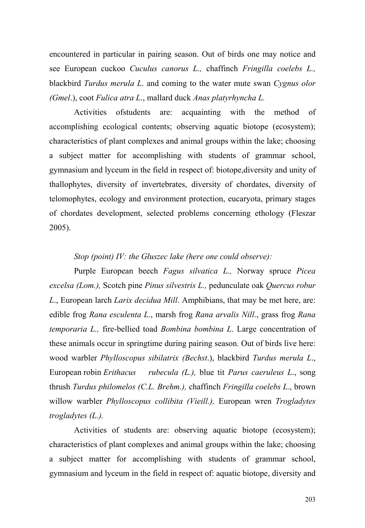encountered in particular in pairing season. Out of birds one may notice and see European cuckoo *Cuculus canorus L.,* chaffinch *Fringilla coelebs L.,* blackbird *Turdus merula L*. and coming to the water mute swan *Cygnus olor (Gmel*.), coot *Fulica atra L*., mallard duck *Anas platyrhyncha L.* 

Activities ofstudents are: acquainting with the method of accomplishing ecological contents; observing aquatic biotope (ecosystem); characteristics of plant complexes and animal groups within the lake; choosing a subject matter for accomplishing with students of grammar school, gymnasium and lyceum in the field in respect of: biotope,diversity and unity of thallophytes, diversity of invertebrates, diversity of chordates, diversity of telomophytes, ecology and environment protection, eucaryota, primary stages of chordates development, selected problems concerning ethology (Fleszar 2005).

#### *Stop (point) IV: the Głuszec lake (here one could observe):*

Purple European beech *Fagus silvatica L.,* Norway spruce *Picea excelsa (Lom.),* Scotch pine *Pinus silvestris L.,* pedunculate oak *Quercus robur L*., European larch *Larix decidua Mill*. Amphibians, that may be met here, are: edible frog *Rana esculenta L*., marsh frog *Rana arvalis Nill*., grass frog *Rana temporaria L.,* fire-bellied toad *Bombina bombina L*. Large concentration of these animals occur in springtime during pairing season. Out of birds live here: wood warbler *Phylloscopus sibilatrix (Bechst*.), blackbird *Turdus merula L*., European robin *Erithacus rubecula (L.),* blue tit *Parus caeruleus L*., song thrush *Turdus philomelos (C.L. Brehm.),* chaffinch *Fringilla coelebs L*., brown willow warbler *Phylloscopus collibita (Vieill.),* European wren *Trogladytes trogladytes (L.).* 

Activities of students are: observing aquatic biotope (ecosystem); characteristics of plant complexes and animal groups within the lake; choosing a subject matter for accomplishing with students of grammar school, gymnasium and lyceum in the field in respect of: aquatic biotope, diversity and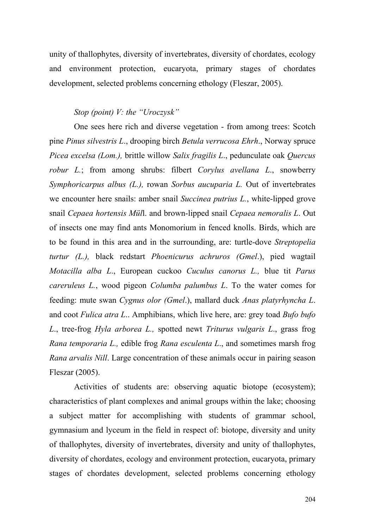unity of thallophytes, diversity of invertebrates, diversity of chordates, ecology and environment protection, eucaryota, primary stages of chordates development, selected problems concerning ethology (Fleszar, 2005).

#### *Stop (point) V: the "Uroczysk"*

One sees here rich and diverse vegetation - from among trees: Scotch pine *Pinus silvestris L*., drooping birch *Betula verrucosa Ehrh*., Norway spruce *Picea excelsa (Lom.),* brittle willow *Salix fragilis L*., pedunculate oak *Quercus robur L.*; from among shrubs: filbert *Corylus avellana L*., snowberry *Symphoricarpus albus (L.),* rowan *Sorbus aucuparia L.* Out of invertebrates we encounter here snails: amber snail *Succinea putrius L.*, white-lipped grove snail *Cepaea hortensis Mül*l. and brown-lipped snail *Cepaea nemoralis L*. Out of insects one may find ants Monomorium in fenced knolls. Birds, which are to be found in this area and in the surrounding, are: turtle-dove *Streptopelia turtur (L.),* black redstart *Phoenicurus achruros (Gmel*.), pied wagtail *Motacilla alba L*., European cuckoo *Cuculus canorus L.,* blue tit *Parus careruleus L.*, wood pigeon *Columba palumbus L*. To the water comes for feeding: mute swan *Cygnus olor (Gmel*.), mallard duck *Anas platyrhyncha L*. and coot *Fulica atra L*.. Amphibians, which live here, are: grey toad *Bufo bufo L*., tree-frog *Hyla arborea L.,* spotted newt *Triturus vulgaris L*., grass frog *Rana temporaria L.,* edible frog *Rana esculenta L*., and sometimes marsh frog *Rana arvalis Nill*. Large concentration of these animals occur in pairing season Fleszar (2005).

Activities of students are: observing aquatic biotope (ecosystem); characteristics of plant complexes and animal groups within the lake; choosing a subject matter for accomplishing with students of grammar school, gymnasium and lyceum in the field in respect of: biotope, diversity and unity of thallophytes, diversity of invertebrates, diversity and unity of thallophytes, diversity of chordates, ecology and environment protection, eucaryota, primary stages of chordates development, selected problems concerning ethology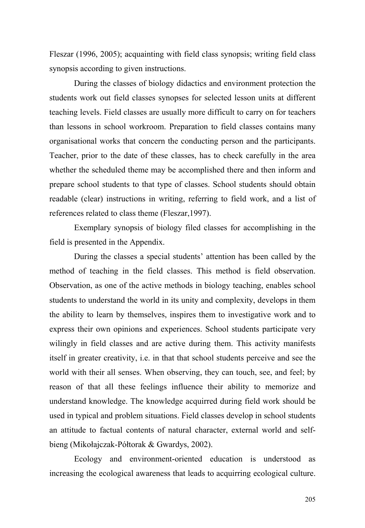Fleszar (1996, 2005); acquainting with field class synopsis; writing field class synopsis according to given instructions.

During the classes of biology didactics and environment protection the students work out field classes synopses for selected lesson units at different teaching levels. Field classes are usually more difficult to carry on for teachers than lessons in school workroom. Preparation to field classes contains many organisational works that concern the conducting person and the participants. Teacher, prior to the date of these classes, has to check carefully in the area whether the scheduled theme may be accomplished there and then inform and prepare school students to that type of classes. School students should obtain readable (clear) instructions in writing, referring to field work, and a list of references related to class theme (Fleszar,1997).

Exemplary synopsis of biology filed classes for accomplishing in the field is presented in the Appendix.

During the classes a special students' attention has been called by the method of teaching in the field classes. This method is field observation. Observation, as one of the active methods in biology teaching, enables school students to understand the world in its unity and complexity, develops in them the ability to learn by themselves, inspires them to investigative work and to express their own opinions and experiences. School students participate very wilingly in field classes and are active during them. This activity manifests itself in greater creativity, i.e. in that that school students perceive and see the world with their all senses. When observing, they can touch, see, and feel; by reason of that all these feelings influence their ability to memorize and understand knowledge. The knowledge acquirred during field work should be used in typical and problem situations. Field classes develop in school students an attitude to factual contents of natural character, external world and selfbieng (Mikołajczak-Półtorak & Gwardys, 2002).

Ecology and environment-oriented education is understood as increasing the ecological awareness that leads to acquirring ecological culture.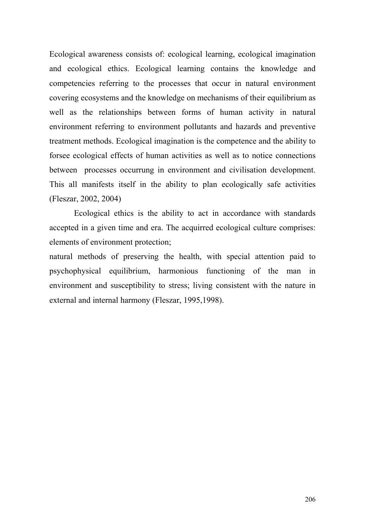Ecological awareness consists of: ecological learning, ecological imagination and ecological ethics. Ecological learning contains the knowledge and competencies referring to the processes that occur in natural environment covering ecosystems and the knowledge on mechanisms of their equilibrium as well as the relationships between forms of human activity in natural environment referring to environment pollutants and hazards and preventive treatment methods. Ecological imagination is the competence and the ability to forsee ecological effects of human activities as well as to notice connections between processes occurrung in environment and civilisation development. This all manifests itself in the ability to plan ecologically safe activities (Fleszar, 2002, 2004)

Ecological ethics is the ability to act in accordance with standards accepted in a given time and era. The acquirred ecological culture comprises: elements of environment protection;

natural methods of preserving the health, with special attention paid to psychophysical equilibrium, harmonious functioning of the man in environment and susceptibility to stress; living consistent with the nature in external and internal harmony (Fleszar, 1995,1998).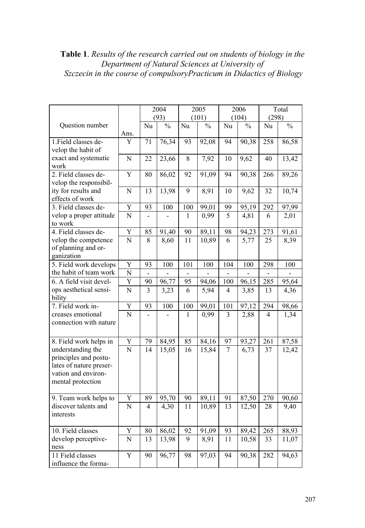**Table 1**. *Results of the research carried out on students of biology in the Department of Natural Sciences at University of Szczecin in the course of compulsoryPracticum in Didactics of Biology* 

|                                             |                                      | 2004 |               | 2005  |               | 2006           |               | Total           |               |
|---------------------------------------------|--------------------------------------|------|---------------|-------|---------------|----------------|---------------|-----------------|---------------|
|                                             |                                      | (93) |               | (101) |               | (104)          |               | (298)           |               |
| Question number                             |                                      | Nu   | $\frac{0}{0}$ | Nu    | $\frac{0}{0}$ | Nu             | $\frac{0}{0}$ | Nu              | $\frac{0}{0}$ |
|                                             | Ans.                                 |      |               |       |               |                |               |                 |               |
| 1. Field classes de-                        | Y                                    | 71   | 76,34         | 93    | 92,08         | 94             | 90,38         | 258             | 86,58         |
| velop the habit of                          |                                      |      |               |       |               |                |               |                 |               |
| exact and systematic                        | $\overline{\text{N}}$                | 22   | 23,66         | 8     | 7,92          | 10             | 9,62          | $\overline{40}$ | 13,42         |
| work                                        |                                      |      |               |       |               |                |               |                 |               |
| 2. Field classes de-                        | Y                                    | 80   | 86,02         | 92    | 91,09         | 94             | 90,38         | 266             | 89,26         |
| velop the responsibil-                      |                                      |      |               |       |               |                |               |                 |               |
| ity for results and                         | N                                    | 13   | 13,98         | 9     | 8,91          | 10             | 9,62          | 32              | 10,74         |
| effects of work                             |                                      |      |               |       |               |                |               |                 |               |
| 3. Field classes de-                        | Y                                    | 93   | 100           | 100   | 99,01         | 99             | 95,19         | 292             | 97,99         |
| velop a proper attitude                     | $\overline{N}$                       |      |               | 1     | 0,99          | 5              | 4,81          | 6               | 2,01          |
| to work                                     |                                      |      |               |       |               |                |               |                 |               |
| 4. Field classes de-                        | $\overline{Y}$<br>$\overline{\rm N}$ | 85   | 91,40         | 90    | 89,11         | 98             | 94,23         | 273             | 91,61         |
| velop the competence<br>of planning and or- |                                      | 8    | 8,60          | 11    | 10,89         | 6              | 5,77          | 25              | 8,39          |
| ganization                                  |                                      |      |               |       |               |                |               |                 |               |
| 5. Field work develops                      | Y                                    | 93   | 100           | 101   | 100           | 104            | 100           | 298             | 100           |
| the habit of team work                      | $\overline{\rm N}$                   |      |               |       |               |                |               |                 |               |
| 6. A field visit devel-                     | $\overline{Y}$                       | 90   | 96,77         | 95    | 94,06         | 100            | 96,15         | 285             | 95,64         |
| ops aesthetical sensi-                      | $\overline{N}$                       | 3    | 3,23          | 6     | 5,94          | $\overline{4}$ | 3,85          | 13              | 4,36          |
| bility                                      |                                      |      |               |       |               |                |               |                 |               |
| 7. Field work in-                           | $\overline{\mathrm{Y}}$              | 93   | 100           | 100   | 99,01         | 101            | 97,12         | 294             | 98,66         |
| creases emotional                           | $\overline{N}$                       |      |               | 1     | 0,99          | 3              | 2,88          | 4               | 1,34          |
| connection with nature                      |                                      |      |               |       |               |                |               |                 |               |
|                                             |                                      |      |               |       |               |                |               |                 |               |
| 8. Field work helps in                      | Y                                    | 79   | 84,95         | 85    | 84,16         | 97             | 93,27         | 261             | 87,58         |
| understanding the                           | $\overline{\rm N}$                   | 14   | 15,05         | 16    | 15,84         | 7              | 6,73          | 37              | 12,42         |
| principles and postu-                       |                                      |      |               |       |               |                |               |                 |               |
| lates of nature preser-                     |                                      |      |               |       |               |                |               |                 |               |
| vation and environ-                         |                                      |      |               |       |               |                |               |                 |               |
| mental protection                           |                                      |      |               |       |               |                |               |                 |               |
|                                             |                                      |      |               |       |               |                |               |                 |               |
| 9. Team work helps to                       | Y                                    | 89   | 95,70         | 90    | 89,11         | 91             | 87,50         | 270             | 90,60         |
| discover talents and                        | $\overline{\rm N}$                   | 4    | 4,30          | 11    | 10,89         | 13             | 12,50         | 28              | 9,40          |
| interests                                   |                                      |      |               |       |               |                |               |                 |               |
| 10. Field classes                           | Y                                    | 80   | 86,02         | 92    | 91,09         | 93             | 89,42         | 265             | 88,93         |
| develop perceptive-                         | N                                    | 13   | 13,98         | 9     | 8,91          | 11             | 10,58         | 33              | 11,07         |
| ness                                        |                                      |      |               |       |               |                |               |                 |               |
| 11 Field classes                            | Y                                    | 90   | 96,77         | 98    | 97,03         | 94             | 90,38         | 282             | 94,63         |
| influence the forma-                        |                                      |      |               |       |               |                |               |                 |               |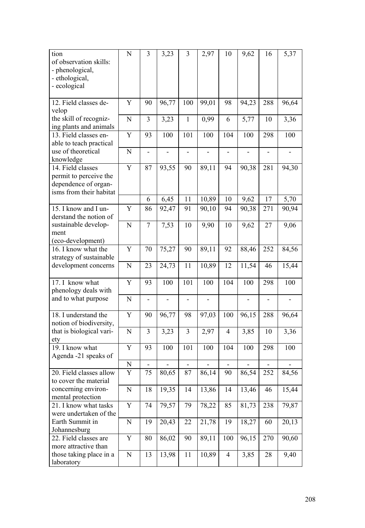| tion<br>of observation skills:<br>- phenological,<br>- ethological,<br>- ecological                                                             | ${\bf N}$   | $\overline{3}$           | 3,23  | 3                            | 2,97  | 10             | 9,62  | 16                           | 5,37  |
|-------------------------------------------------------------------------------------------------------------------------------------------------|-------------|--------------------------|-------|------------------------------|-------|----------------|-------|------------------------------|-------|
| 12. Field classes de-<br>velop                                                                                                                  | Y           | 90                       | 96,77 | 100                          | 99,01 | 98             | 94,23 | 288                          | 96,64 |
| the skill of recogniz-<br>ing plants and animals                                                                                                | N           | 3                        | 3,23  | $\mathbf{1}$                 | 0,99  | 6              | 5,77  | 10                           | 3,36  |
| 13. Field classes en-<br>able to teach practical                                                                                                | Y           | 93                       | 100   | 101                          | 100   | 104            | 100   | 298                          | 100   |
| use of theoretical<br>knowledge                                                                                                                 | $\mathbf N$ | $\overline{\phantom{0}}$ |       |                              |       |                |       |                              |       |
| 14. Field classes<br>permit to perceive the<br>dependence of organ-<br>isms from their habitat                                                  | Y           | 87                       | 93,55 | 90                           | 89,11 | 94             | 90,38 | 281                          | 94,30 |
|                                                                                                                                                 |             | 6                        | 6,45  | 11                           | 10,89 | 10             | 9,62  | 17                           | 5,70  |
| 15. I know and I un-<br>derstand the notion of                                                                                                  | Y           | 86                       | 92,47 | 91                           | 90,10 | 94             | 90,38 | 271                          | 90,94 |
| sustainable develop-<br>ment<br>(eco-development)                                                                                               | N           | 7                        | 7,53  | 10                           | 9,90  | 10             | 9,62  | 27                           | 9,06  |
| 16. I know what the<br>strategy of sustainable                                                                                                  | Y           | 70                       | 75,27 | 90                           | 89,11 | 92             | 88,46 | 252                          | 84,56 |
| development concerns                                                                                                                            | N           | 23                       | 24,73 | 11                           | 10,89 | 12             | 11,54 | 46                           | 15,44 |
| 17. I know what<br>phenology deals with<br>and to what purpose                                                                                  | Y           | 93                       | 100   | 101                          | 100   | 104            | 100   | 298                          | 100   |
|                                                                                                                                                 | ${\bf N}$   | $\overline{a}$           |       |                              |       |                |       |                              |       |
| 18. I understand the<br>notion of biodiversity,                                                                                                 | Y           | 90                       | 96,77 | 98                           | 97,03 | 100            | 96,15 | 288                          | 96,64 |
| that is biological vari-<br>ety                                                                                                                 | N           | 3                        | 3,23  | 3                            | 2,97  | $\overline{4}$ | 3,85  | 10                           | 3,36  |
| 19. I know what<br>Agenda -21 speaks of                                                                                                         | Y           | 93                       | 100   | 101                          | 100   | 104            | 100   | 298                          | 100   |
|                                                                                                                                                 | N           | $\overline{\phantom{0}}$ |       | $\qquad \qquad \blacksquare$ |       | $\blacksquare$ |       | $\qquad \qquad \blacksquare$ |       |
| 20. Field classes allow<br>to cover the material<br>concerning environ-<br>mental protection<br>21. I know what tasks<br>were undertaken of the | Y           | 75                       | 80,65 | 87                           | 86,14 | 90             | 86,54 | 252                          | 84,56 |
|                                                                                                                                                 | N           | 18                       | 19,35 | 14                           | 13,86 | 14             | 13,46 | 46                           | 15,44 |
|                                                                                                                                                 | Y           | 74                       | 79,57 | 79                           | 78,22 | 85             | 81,73 | 238                          | 79,87 |
| Earth Summit in<br>Johannesburg                                                                                                                 | N           | 19                       | 20,43 | 22                           | 21,78 | 19             | 18,27 | 60                           | 20,13 |
| 22. Field classes are<br>more attractive than                                                                                                   | Y           | 80                       | 86,02 | 90                           | 89,11 | 100            | 96,15 | 270                          | 90,60 |
| those taking place in a<br>laboratory                                                                                                           | N           | 13                       | 13,98 | 11                           | 10,89 | $\overline{4}$ | 3,85  | 28                           | 9,40  |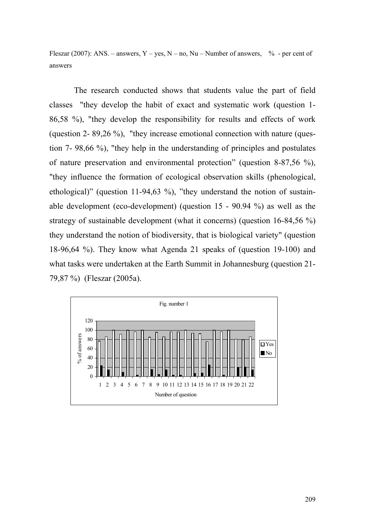Fleszar (2007): ANS. – answers, Y – yes, N – no, Nu – Number of answers,  $\%$  - per cent of answers

The research conducted shows that students value the part of field classes "they develop the habit of exact and systematic work (question 1- 86,58 %), "they develop the responsibility for results and effects of work (question 2- 89,26 %), "they increase emotional connection with nature (question 7- 98,66 %), "they help in the understanding of principles and postulates of nature preservation and environmental protection" (question 8-87,56 %), "they influence the formation of ecological observation skills (phenological, ethological)" (question 11-94,63 %), "they understand the notion of sustainable development (eco-development) (question 15 - 90.94 %) as well as the strategy of sustainable development (what it concerns) (question 16-84,56 %) they understand the notion of biodiversity, that is biological variety" (question 18-96,64 %). They know what Agenda 21 speaks of (question 19-100) and what tasks were undertaken at the Earth Summit in Johannesburg (question 21- 79,87 %) (Fleszar (2005a).

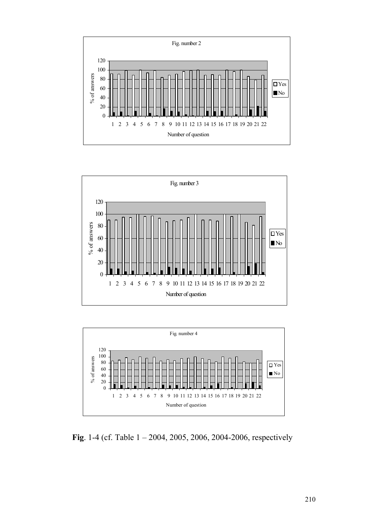





**Fig**. 1-4 (cf. Table 1 – 2004, 2005, 2006, 2004-2006, respectively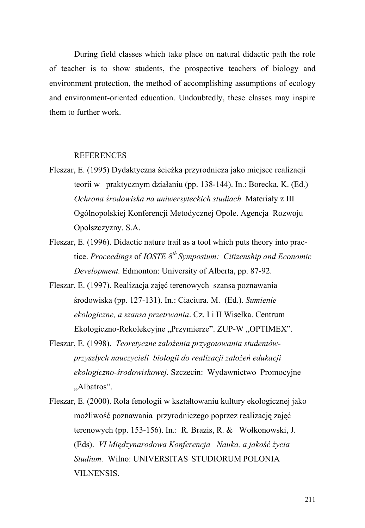During field classes which take place on natural didactic path the role of teacher is to show students, the prospective teachers of biology and environment protection, the method of accomplishing assumptions of ecology and environment-oriented education. Undoubtedly, these classes may inspire them to further work.

#### REFERENCES

- Fleszar, E. (1995) Dydaktyczna ścieżka przyrodnicza jako miejsce realizacji teorii w praktycznym działaniu (pp. 138-144). In.: Borecka, K. (Ed.) *Ochrona środowiska na uniwersyteckich studiach.* Materiały z III Ogólnopolskiej Konferencji Metodycznej Opole. Agencja Rozwoju Opolszczyzny. S.A.
- Fleszar, E. (1996). Didactic nature trail as a tool which puts theory into practice. *Proceedings* of *IOSTE 8th Symposium: Citizenship and Economic Development.* Edmonton: University of Alberta, pp. 87-92.
- Fleszar, E. (1997). Realizacja zajęć terenowych szansą poznawania środowiska (pp. 127-131). In.: Ciaciura. M. (Ed.). *Sumienie ekologiczne, a szansa przetrwania*. Cz. I i II Wisełka. Centrum Ekologiczno-Rekolekcyjne "Przymierze". ZUP-W "OPTIMEX".
- Fleszar, E. (1998). *Teoretyczne założenia przygotowania studentówprzyszłych nauczycieli biologii do realizacji założeń edukacji ekologiczno-środowiskowej.* Szczecin: Wydawnictwo Promocyjne "Albatros".
- Fleszar, E. (2000). Rola fenologii w kształtowaniu kultury ekologicznej jako możliwość poznawania przyrodniczego poprzez realizację zajęć terenowych (pp. 153-156). In.: R. Brazis, R. & Wołkonowski, J. (Eds). *VI Międzynarodowa Konferencja Nauka, a jakość życia Studium.* Wilno: UNIVERSITAS STUDIORUM POLONIA VILNENSIS.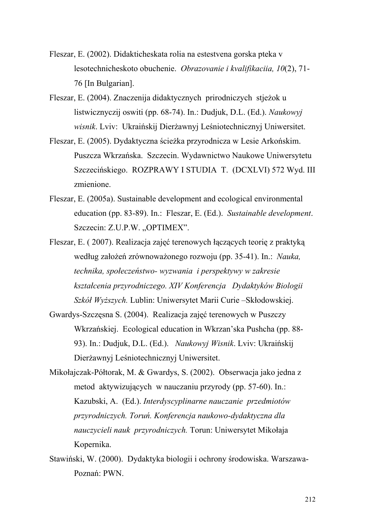- Fleszar, E. (2002). Didakticheskata rolia na estestvena gorska pteka v lesotechnicheskoto obuchenie. *Obrazovanie i kvalifikaciia, 10*(2), 71- 76 [In Bulgarian].
- Fleszar, E. (2004). Znaczenija didaktycznych prirodniczych stjeżok u listwicznyczij oswiti (pp. 68-74). In.: Dudjuk, D.L. (Ed.). *Naukowyj wisnik*. Lviv: Ukraińskij Dierżawnyj Leśniotechnicznyj Uniwersitet.
- Fleszar, E. (2005). Dydaktyczna ścieżka przyrodnicza w Lesie Arkońskim. Puszcza Wkrzańska. Szczecin. Wydawnictwo Naukowe Uniwersytetu Szczecińskiego. ROZPRAWY I STUDIA T. (DCXLVI) 572 Wyd. III zmienione.
- Fleszar, E. (2005a). Sustainable development and ecological environmental education (pp. 83-89). In.: Fleszar, E. (Ed.). *Sustainable development*. Szczecin: Z.U.P.W. "OPTIMEX".
- Fleszar, E. ( 2007). Realizacja zajęć terenowych łączących teorię z praktyką według założeń zrównoważonego rozwoju (pp. 35-41). In.: *Nauka, technika, społeczeństwo- wyzwania i perspektywy w zakresie kształcenia przyrodniczego. XIV Konferencja Dydaktyków Biologii Szkół Wyższych.* Lublin: Uniwersytet Marii Curie –Skłodowskiej.
- Gwardys-Szczęsna S. (2004). Realizacja zajęć terenowych w Puszczy Wkrzańskiej. Ecological education in Wkrzan'ska Pushcha (pp. 88- 93). In.: Dudjuk, D.L. (Ed.). *Naukowyj Wisnik*. Lviv: Ukraińskij Dierżawnyj Leśniotechnicznyj Uniwersitet.
- Mikołajczak-Półtorak, M. & Gwardys, S. (2002). Obserwacja jako jedna z metod aktywizujących w nauczaniu przyrody (pp. 57-60). In.: Kazubski, A. (Ed.). *Interdyscyplinarne nauczanie przedmiotów przyrodniczych. Toruń. Konferencja naukowo-dydaktyczna dla nauczycieli nauk przyrodniczych.* Torun: Uniwersytet Mikołaja Kopernika.
- Stawiński, W. (2000). Dydaktyka biologii i ochrony środowiska. Warszawa-Poznań: PWN.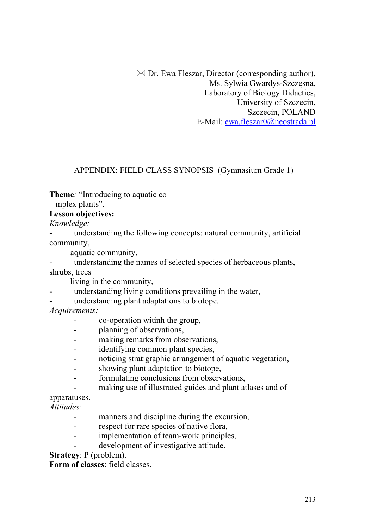$\boxtimes$  Dr. Ewa Fleszar, Director (corresponding author), Ms. Sylwia Gwardys-Szczęsna, Laboratory of Biology Didactics, University of Szczecin, Szczecin, POLAND E-Mail: [ewa.fleszar0@neostrada.pl](mailto:ewa.fleszar0@neostrada.pl)

#### APPENDIX: FIELD CLASS SYNOPSIS (Gymnasium Grade 1)

**Theme***:* "Introducing to aquatic co

mplex plants".

#### **Lesson objectives:**

*Knowledge:* 

understanding the following concepts: natural community, artificial community,

aquatic community,

understanding the names of selected species of herbaceous plants, shrubs, trees

living in the community,

- understanding living conditions prevailing in the water,
- understanding plant adaptations to biotope.

*Acquirements:* 

- co-operation witinh the group,
- planning of observations,
- making remarks from observations,
- identifying common plant species,
- noticing stratigraphic arrangement of aquatic vegetation,
- showing plant adaptation to biotope,
- formulating conclusions from observations,
- making use of illustrated guides and plant atlases and of

apparatuses.

*Attitudes:* 

- manners and discipline during the excursion,
- respect for rare species of native flora,
- implementation of team-work principles,
- development of investigative attitude.

**Strategy**: P (problem).

**Form of classes**: field classes.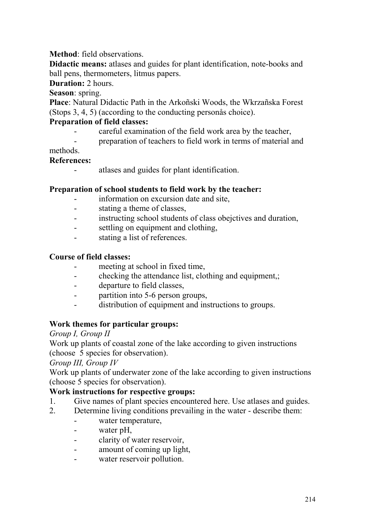**Method**: field observations.

**Didactic means:** atlases and guides for plant identification, note-books and ball pens, thermometers, litmus papers.

**Duration:** 2 hours.

**Season**: spring.

**Place**: Natural Didactic Path in the Arkoñski Woods, the Wkrzañska Forest (Stops 3, 4, 5) (according to the conducting personås choice).

## **Preparation of field classes:**

- careful examination of the field work area by the teacher,
- preparation of teachers to field work in terms of material and

## methods.

### **References:**

- atlases and guides for plant identification.

## **Preparation of school students to field work by the teacher:**

- information on excursion date and site,
- stating a theme of classes,
- instructing school students of class obejctives and duration,
- settling on equipment and clothing,
- stating a list of references.

#### **Course of field classes:**

- meeting at school in fixed time,
- checking the attendance list, clothing and equipment,;
- departure to field classes,
- partition into 5-6 person groups,
- distribution of equipment and instructions to groups.

### **Work themes for particular groups:**

*Group I, Group II* 

Work up plants of coastal zone of the lake according to given instructions (choose 5 species for observation).

### *Group III, Group IV*

Work up plants of underwater zone of the lake according to given instructions (choose 5 species for observation).

### **Work instructions for respective groups:**

- 1. Give names of plant species encountered here. Use atlases and guides.
- 2. Determine living conditions prevailing in the water describe them:
	- water temperature,
	- water pH,
	- clarity of water reservoir,
	- amount of coming up light,
	- water reservoir pollution.